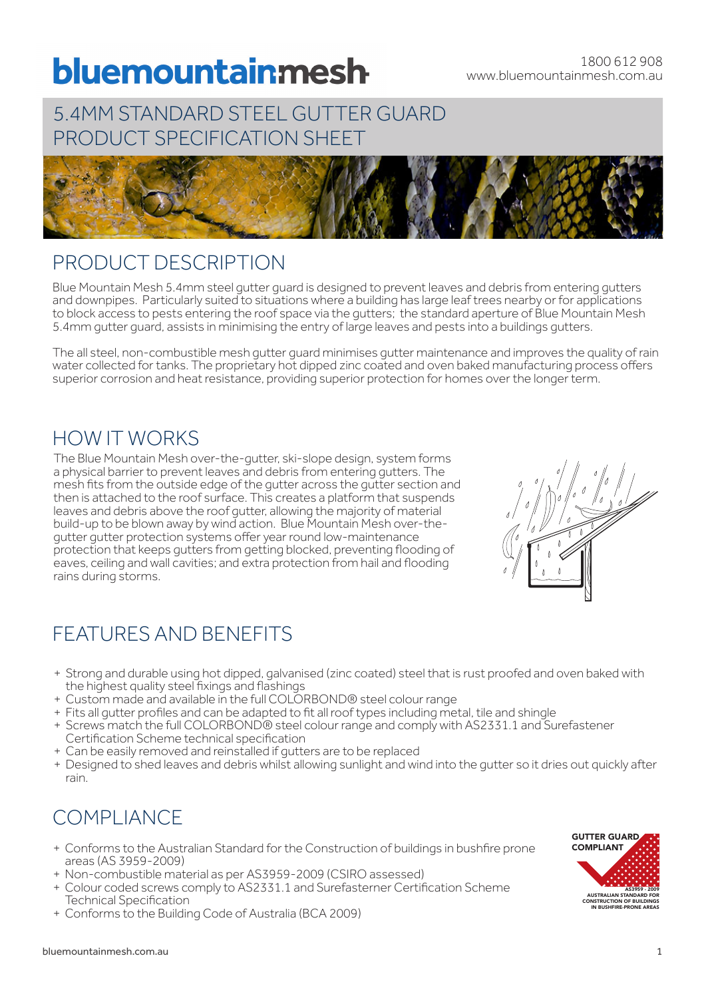# bluemountainmesh

## 5.4MM STANDARD STEEL GUTTER GUARD PRODUCT SPECIFICATION SHEET



## PRODUCT DESCRIPTION

Blue Mountain Mesh 5.4mm steel gutter guard is designed to prevent leaves and debris from entering gutters and downpipes. Particularly suited to situations where a building has large leaf trees nearby or for applications to block access to pests entering the roof space via the gutters; the standard aperture of Blue Mountain Mesh 5.4mm gutter guard, assists in minimising the entry of large leaves and pests into a buildings gutters.

The all steel, non-combustible mesh gutter guard minimises gutter maintenance and improves the quality of rain water collected for tanks. The proprietary hot dipped zinc coated and oven baked manufacturing process offers superior corrosion and heat resistance, providing superior protection for homes over the longer term.

## HOW IT WORKS

The Blue Mountain Mesh over-the-gutter, ski-slope design, system forms a physical barrier to prevent leaves and debris from entering gutters. The mesh fits from the outside edge of the gutter across the gutter section and then is attached to the roof surface. This creates a platform that suspends leaves and debris above the roof gutter, allowing the majority of material build-up to be blown away by wind action. Blue Mountain Mesh over-thegutter gutter protection systems offer year round low-maintenance protection that keeps gutters from getting blocked, preventing flooding of eaves, ceiling and wall cavities; and extra protection from hail and flooding rains during storms.

# FEATURES AND BENEFITS

- + Strong and durable using hot dipped, galvanised (zinc coated) steel that is rust proofed and oven baked with the highest quality steel fixings and flashings
- + Custom made and available in the full COLORBOND® steel colour range
- + Fits all gutter profiles and can be adapted to fit all roof types including metal, tile and shingle
- + Screws match the full COLORBOND® steel colour range and comply with AS2331.1 and Surefastener Certification Scheme technical specification
- + Can be easily removed and reinstalled if gutters are to be replaced
- + Designed to shed leaves and debris whilst allowing sunlight and wind into the gutter so it dries out quickly after rain.

# COMPLIANCE

- + Conforms to the Australian Standard for the Construction of buildings in bushfire prone areas (AS 3959-2009)
- + Non-combustible material as per AS3959-2009 (CSIRO assessed)
- + Colour coded screws comply to AS2331.1 and Surefasterner Certification Scheme Technical Specification
- + Conforms to the Building Code of Australia (BCA 2009)

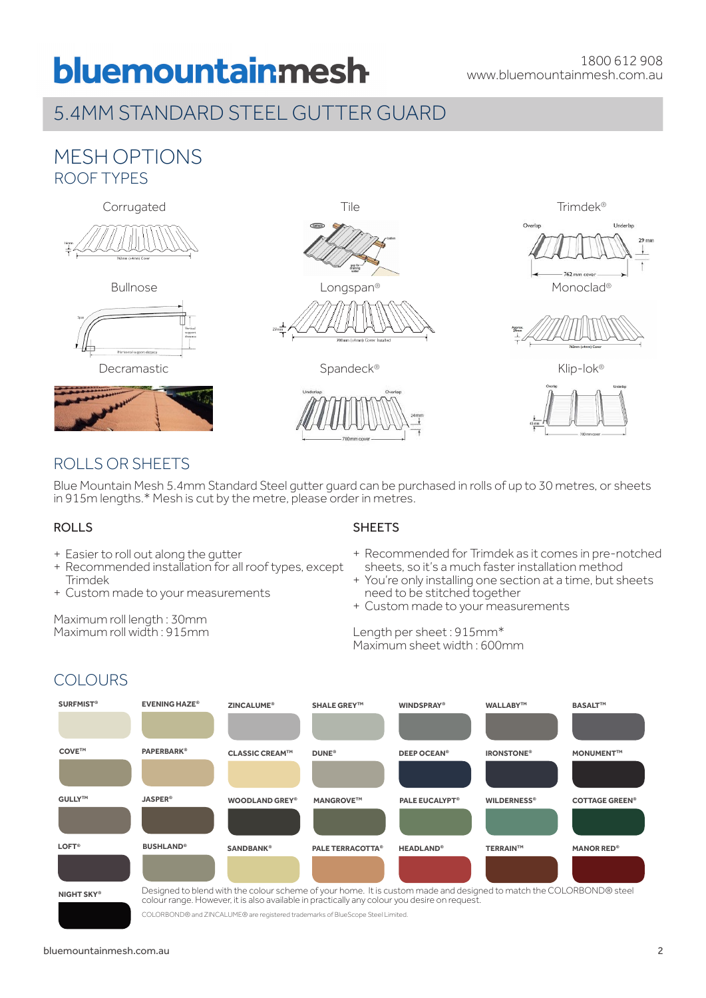# bluemountainmesh

# 5.4MM STANDARD STEEL GUTTER GUARD

### MESH OPTIONS ROOF TYPES









Decramastic Spandeck® Spandeck® Klip-lok®



Bullnose **Example 2018** Longspan® **Monoclay** Monoclad®







### ROLLS OR SHEETS

Blue Mountain Mesh 5.4mm Standard Steel gutter guard can be purchased in rolls of up to 30 metres, or sheets in 915m lengths.\* Mesh is cut by the metre, please order in metres.

#### ROLLS

**COLOURS** 

- + Easier to roll out along the gutter
- + Recommended installation for all roof types, except Trimdek
- + Custom made to your measurements

Maximum roll length : 30mm Maximum roll width : 915mm

#### **SHEETS**

- + Recommended for Trimdek as it comes in pre-notched sheets, so it's a much faster installation method
- + You're only installing one section at a time, but sheets need to be stitched together
- + Custom made to your measurements

#### Length per sheet : 915mm\* Maximum sheet width : 600mm



colour range. However, it is also available in practically any colour you desire on request.

COLORBOND® and ZINCALUME® are registered trademarks of BlueScope Steel Limited.

#### bluemountainmesh.com.au 2